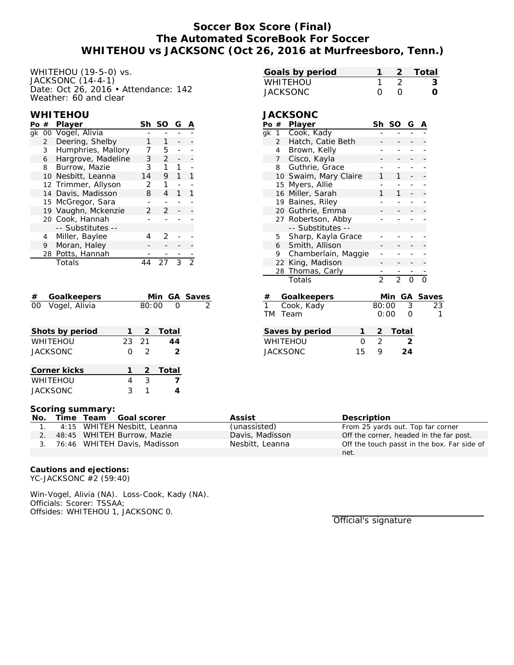## **Soccer Box Score (Final) The Automated ScoreBook For Soccer WHITEHOU vs JACKSONC (Oct 26, 2016 at Murfreesboro, Tenn.)**

WHITEHOU (19-5-0) vs. JACKSONC (14-4-1) Date: Oct 26, 2016 • Attendance: 142 Weather: 60 and clear

#### **WHITEHOU**

| Po # |                | Player              | Sh            | -SO           | G |  |
|------|----------------|---------------------|---------------|---------------|---|--|
|      |                | gk 00 Vogel, Alivia |               |               |   |  |
|      | $\overline{2}$ | Deering, Shelby     |               |               |   |  |
|      | $\mathbf{3}$   | Humphries, Mallory  |               | 5             |   |  |
|      | 6              | Hargrove, Madeline  | 3             | $\mathcal{P}$ |   |  |
|      | 8              | Burrow, Mazie       | З             |               |   |  |
|      |                | 10 Nesbitt, Leanna  | 14            | 9             |   |  |
|      |                | 12 Trimmer, Allyson | $\mathcal{P}$ |               |   |  |
|      |                | 14 Davis, Madisson  | 8             | 4             | 1 |  |
|      |                | 15 McGregor, Sara   |               |               |   |  |
|      |                | 19 Vaughn, Mckenzie | $\mathcal{P}$ | $\mathcal{P}$ |   |  |
|      |                | 20 Cook, Hannah     |               |               |   |  |
|      |                | -- Substitutes --   |               |               |   |  |
|      | 4              | Miller, Baylee      |               | フ             |   |  |
|      | 9              | Moran, Haley        |               |               |   |  |
|      |                | 28 Potts, Hannah    |               |               |   |  |
|      |                | Totals              |               |               |   |  |
|      |                |                     |               |               |   |  |

| Goalkeepers<br>#        |   |               | Min GA Saves  |   |
|-------------------------|---|---------------|---------------|---|
| Vogel, Alivia<br>$00-1$ |   | 80:00         | ∩             | 2 |
| Shots by period         |   | 2             | Total         |   |
| <b>WHITEHOU</b>         |   | 23 21         | 44            |   |
| <b>JACKSONC</b>         | O | $\mathcal{L}$ | $\mathcal{L}$ |   |
| Corner kicks            |   | 2             | Total         |   |
| <b>WHITEHOU</b>         | 4 | 3             |               |   |
| <b>JACKSONC</b>         | 3 |               |               |   |

|  | -2 Total |
|--|----------|
|  |          |
|  |          |
|  |          |

# **JACKSONC**

| Po #                                            |                | Player              | Sh             | SO             | G | А        |    |
|-------------------------------------------------|----------------|---------------------|----------------|----------------|---|----------|----|
| qk                                              | 1              | Cook, Kady          |                |                |   |          |    |
|                                                 | $\overline{2}$ | Hatch, Catie Beth   |                |                |   |          |    |
|                                                 | 4              | Brown, Kelly        |                |                |   |          |    |
|                                                 | 7              | Cisco, Kayla        |                |                |   |          |    |
|                                                 | 8              | Guthrie, Grace      |                |                |   |          |    |
|                                                 | 10             | Swaim, Mary Claire  | 1              | 1              |   |          |    |
|                                                 | 15             | Myers, Allie        |                |                |   |          |    |
|                                                 | 16             | Miller, Sarah       | 1              | 1              |   |          |    |
|                                                 | 19             | Baines, Riley       |                |                |   |          |    |
|                                                 | 20             | Guthrie, Emma       |                |                |   |          |    |
|                                                 |                | 27 Robertson, Abby  |                |                |   |          |    |
|                                                 |                | -- Substitutes --   |                |                |   |          |    |
|                                                 | 5              | Sharp, Kayla Grace  |                |                |   |          |    |
|                                                 | 6              | Smith, Allison      |                |                |   |          |    |
|                                                 | 9              | Chamberlain, Maggie |                |                |   |          |    |
|                                                 | 22             | King, Madison       |                |                |   |          |    |
|                                                 | 28             | Thomas, Carly       |                |                |   |          |    |
|                                                 |                | Totals              | $\overline{2}$ | $\overline{2}$ | ∩ | ∩        |    |
| #                                               |                | Goalkeepers         |                | Min            |   | GA Saves |    |
| $\mathbf{1}$                                    |                | Cook, Kady          | 80:00          |                | 3 |          | 23 |
| <b>TM</b>                                       |                | Team                |                | 0:00           | ∩ |          | 1  |
| Savos hy norind<br>$T \cap t \cap I$<br>1<br>2. |                |                     |                |                |   |          |    |

| Saves by period |              |   | -2 Total |
|-----------------|--------------|---|----------|
| WHITEHOU        | <sup>n</sup> |   | ン        |
| JACKSONC        | 15           | o | 24       |

#### **Scoring summary:**

| No. |  | Time Team Goal scorer           | Assist          | Description                                 |
|-----|--|---------------------------------|-----------------|---------------------------------------------|
|     |  | 4:15 WHITEH Nesbitt, Leanna     | (unassisted)    | From 25 yards out. Top far corner           |
|     |  | 2. 48:45 WHITEH Burrow, Mazie   | Davis, Madisson | Off the corner, headed in the far post.     |
|     |  | 3. 76:46 WHITEH Davis, Madisson | Nesbitt, Leanna | Off the touch passt in the box. Far side of |
|     |  |                                 |                 | net.                                        |

**Cautions and ejections:** YC-JACKSONC #2 (59:40)

Win-Vogel, Alivia (NA). Loss-Cook, Kady (NA). Officials: Scorer: TSSAA; Offsides: WHITEHOU 1, JACKSONC 0.

Official's signature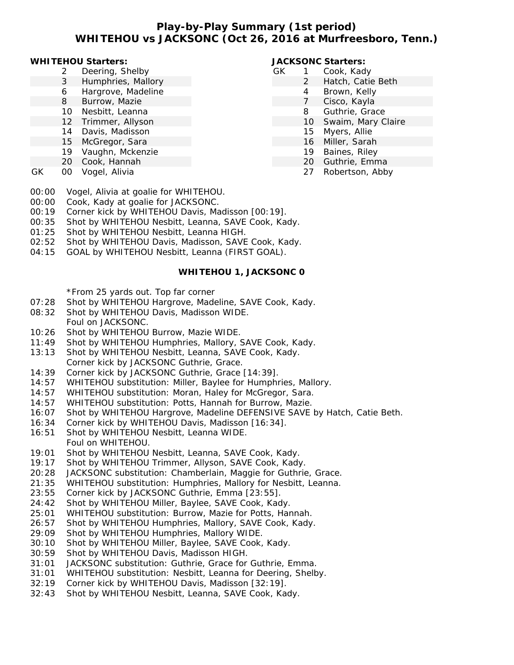## **Play-by-Play Summary (1st period) WHITEHOU vs JACKSONC (Oct 26, 2016 at Murfreesboro, Tenn.)**

#### **WHITEHOU Starters:**

- 2 Deering, Shelby
- 3 Humphries, Mallory
- 6 Hargrove, Madeline
- 8 Burrow, Mazie
- 10 Nesbitt, Leanna
- 12 Trimmer, Allyson
- 14 Davis, Madisson
- 15 McGregor, Sara
- 19 Vaughn, Mckenzie
- 20 Cook, Hannah
- GK 00 Vogel, Alivia

## **JACKSONC Starters:**

- GK 1 Cook, Kady 2 Hatch, Catie Beth
	- 4 Brown, Kelly
	- 7 Cisco, Kayla
	- 8 Guthrie, Grace
	- 10 Swaim, Mary Claire
	- 15 Myers, Allie
	- 16 Miller, Sarah
	- 19 Baines, Riley
	- 20 Guthrie, Emma
	- 27 Robertson, Abby

- 00:00 Vogel, Alivia at goalie for WHITEHOU.
- 00:00 Cook, Kady at goalie for JACKSONC.
- 00:19 Corner kick by WHITEHOU Davis, Madisson [00:19].
- 00:35 Shot by WHITEHOU Nesbitt, Leanna, SAVE Cook, Kady.
- 01:25 Shot by WHITEHOU Nesbitt, Leanna HIGH.
- 02:52 Shot by WHITEHOU Davis, Madisson, SAVE Cook, Kady.
- 04:15 GOAL by WHITEHOU Nesbitt, Leanna (FIRST GOAL).

## **WHITEHOU 1, JACKSONC 0**

\*From 25 yards out. Top far corner

- 07:28 Shot by WHITEHOU Hargrove, Madeline, SAVE Cook, Kady.
- 08:32 Shot by WHITEHOU Davis, Madisson WIDE.
- Foul on JACKSONC.
- 10:26 Shot by WHITEHOU Burrow, Mazie WIDE.
- 11:49 Shot by WHITEHOU Humphries, Mallory, SAVE Cook, Kady.
- 13:13 Shot by WHITEHOU Nesbitt, Leanna, SAVE Cook, Kady. Corner kick by JACKSONC Guthrie, Grace.
- 14:39 Corner kick by JACKSONC Guthrie, Grace [14:39].
- 14:57 WHITEHOU substitution: Miller, Baylee for Humphries, Mallory.
- 14:57 WHITEHOU substitution: Moran, Haley for McGregor, Sara.
- 14:57 WHITEHOU substitution: Potts, Hannah for Burrow, Mazie.
- 16:07 Shot by WHITEHOU Hargrove, Madeline DEFENSIVE SAVE by Hatch, Catie Beth.
- 16:34 Corner kick by WHITEHOU Davis, Madisson [16:34].
- 16:51 Shot by WHITEHOU Nesbitt, Leanna WIDE. Foul on WHITEHOU.
- 19:01 Shot by WHITEHOU Nesbitt, Leanna, SAVE Cook, Kady.
- 19:17 Shot by WHITEHOU Trimmer, Allyson, SAVE Cook, Kady.
- 20:28 JACKSONC substitution: Chamberlain, Maggie for Guthrie, Grace.
- 21:35 WHITEHOU substitution: Humphries, Mallory for Nesbitt, Leanna.
- 23:55 Corner kick by JACKSONC Guthrie, Emma [23:55].
- 24:42 Shot by WHITEHOU Miller, Baylee, SAVE Cook, Kady.
- 25:01 WHITEHOU substitution: Burrow, Mazie for Potts, Hannah.
- 26:57 Shot by WHITEHOU Humphries, Mallory, SAVE Cook, Kady.
- 29:09 Shot by WHITEHOU Humphries, Mallory WIDE.
- 30:10 Shot by WHITEHOU Miller, Baylee, SAVE Cook, Kady.
- 30:59 Shot by WHITEHOU Davis, Madisson HIGH.
- 31:01 JACKSONC substitution: Guthrie, Grace for Guthrie, Emma.
- 31:01 WHITEHOU substitution: Nesbitt, Leanna for Deering, Shelby.
- 32:19 Corner kick by WHITEHOU Davis, Madisson [32:19].
- 32:43 Shot by WHITEHOU Nesbitt, Leanna, SAVE Cook, Kady.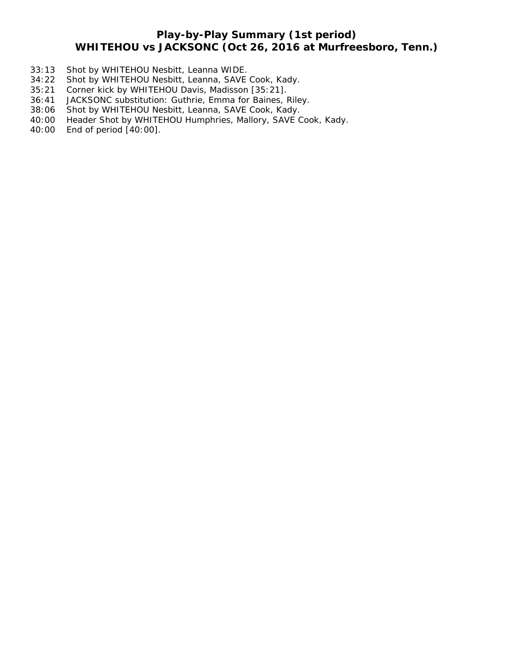# **Play-by-Play Summary (1st period) WHITEHOU vs JACKSONC (Oct 26, 2016 at Murfreesboro, Tenn.)**

- 33:13 Shot by WHITEHOU Nesbitt, Leanna WIDE.
- 34:22 Shot by WHITEHOU Nesbitt, Leanna, SAVE Cook, Kady.
- 35:21 Corner kick by WHITEHOU Davis, Madisson [35:21].
- 36:41 JACKSONC substitution: Guthrie, Emma for Baines, Riley.
- 38:06 Shot by WHITEHOU Nesbitt, Leanna, SAVE Cook, Kady.
- 40:00 Header Shot by WHITEHOU Humphries, Mallory, SAVE Cook, Kady.
- 40:00 End of period [40:00].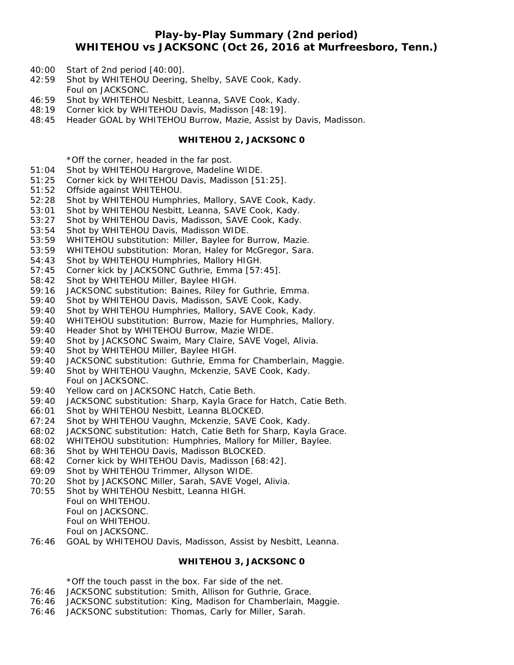### **Play-by-Play Summary (2nd period) WHITEHOU vs JACKSONC (Oct 26, 2016 at Murfreesboro, Tenn.)**

- 40:00 Start of 2nd period [40:00].
- 42:59 Shot by WHITEHOU Deering, Shelby, SAVE Cook, Kady. Foul on JACKSONC.
- 46:59 Shot by WHITEHOU Nesbitt, Leanna, SAVE Cook, Kady.
- 48:19 Corner kick by WHITEHOU Davis, Madisson [48:19].
- 48:45 Header GOAL by WHITEHOU Burrow, Mazie, Assist by Davis, Madisson.

#### **WHITEHOU 2, JACKSONC 0**

\*Off the corner, headed in the far post.

- 51:04 Shot by WHITEHOU Hargrove, Madeline WIDE.
- 51:25 Corner kick by WHITEHOU Davis, Madisson [51:25].
- 51:52 Offside against WHITEHOU.
- 52:28 Shot by WHITEHOU Humphries, Mallory, SAVE Cook, Kady.
- 53:01 Shot by WHITEHOU Nesbitt, Leanna, SAVE Cook, Kady.
- 53:27 Shot by WHITEHOU Davis, Madisson, SAVE Cook, Kady.
- 53:54 Shot by WHITEHOU Davis, Madisson WIDE.
- 53:59 WHITEHOU substitution: Miller, Baylee for Burrow, Mazie.
- 53:59 WHITEHOU substitution: Moran, Haley for McGregor, Sara.
- 54:43 Shot by WHITEHOU Humphries, Mallory HIGH.
- 57:45 Corner kick by JACKSONC Guthrie, Emma [57:45].
- 58:42 Shot by WHITEHOU Miller, Baylee HIGH.
- 59:16 JACKSONC substitution: Baines, Riley for Guthrie, Emma.
- 59:40 Shot by WHITEHOU Davis, Madisson, SAVE Cook, Kady.
- 59:40 Shot by WHITEHOU Humphries, Mallory, SAVE Cook, Kady.
- 59:40 WHITEHOU substitution: Burrow, Mazie for Humphries, Mallory.
- 59:40 Header Shot by WHITEHOU Burrow, Mazie WIDE.
- 59:40 Shot by JACKSONC Swaim, Mary Claire, SAVE Vogel, Alivia.
- 59:40 Shot by WHITEHOU Miller, Baylee HIGH.
- 59:40 JACKSONC substitution: Guthrie, Emma for Chamberlain, Maggie.
- 59:40 Shot by WHITEHOU Vaughn, Mckenzie, SAVE Cook, Kady. Foul on JACKSONC.
- 59:40 Yellow card on JACKSONC Hatch, Catie Beth.
- 59:40 JACKSONC substitution: Sharp, Kayla Grace for Hatch, Catie Beth.
- 66:01 Shot by WHITEHOU Nesbitt, Leanna BLOCKED.
- 67:24 Shot by WHITEHOU Vaughn, Mckenzie, SAVE Cook, Kady.
- 68:02 JACKSONC substitution: Hatch, Catie Beth for Sharp, Kayla Grace.
- 68:02 WHITEHOU substitution: Humphries, Mallory for Miller, Baylee.
- 68:36 Shot by WHITEHOU Davis, Madisson BLOCKED.
- 68:42 Corner kick by WHITEHOU Davis, Madisson [68:42].
- 69:09 Shot by WHITEHOU Trimmer, Allyson WIDE.
- 70:20 Shot by JACKSONC Miller, Sarah, SAVE Vogel, Alivia.
- 70:55 Shot by WHITEHOU Nesbitt, Leanna HIGH.
	- Foul on WHITEHOU. Foul on JACKSONC.
		- Foul on WHITEHOU.
		-
		- Foul on JACKSONC.
- 76:46 GOAL by WHITEHOU Davis, Madisson, Assist by Nesbitt, Leanna.

#### **WHITEHOU 3, JACKSONC 0**

\*Off the touch passt in the box. Far side of the net.

- 76:46 JACKSONC substitution: Smith, Allison for Guthrie, Grace.
- 76:46 JACKSONC substitution: King, Madison for Chamberlain, Maggie.
- 76:46 JACKSONC substitution: Thomas, Carly for Miller, Sarah.